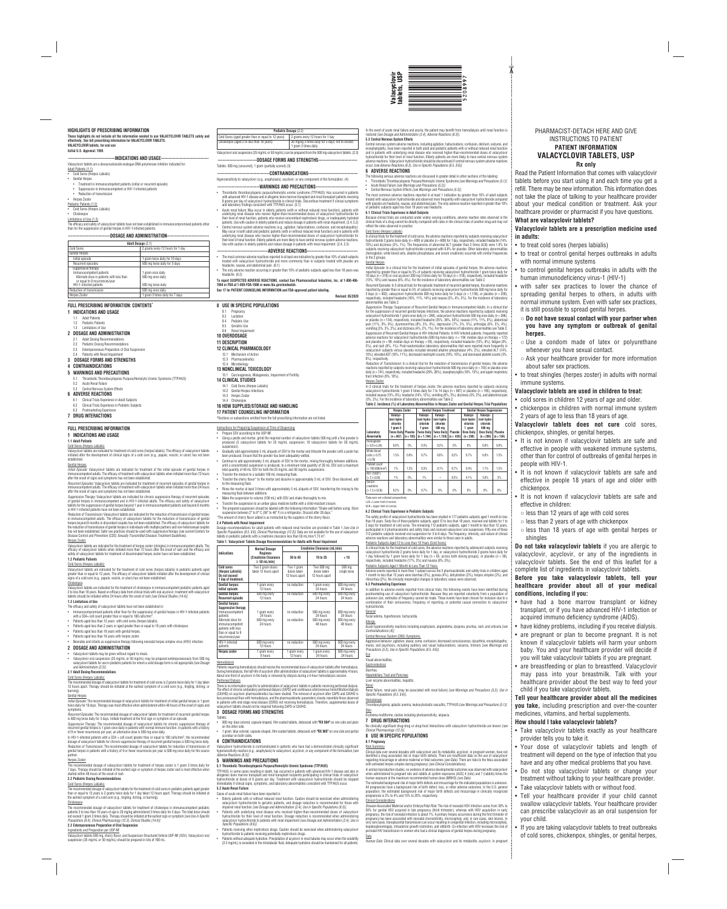PHARMACIST-DETACH HERE AND GIVE INSTRUCTIONS TO PATIENT **PATIENT INFORMATION VALACYCLOVIR TABLETS, USP Rx only** Read the Patient Information that comes with valacyclovir tablets before you start using it and each time you get a refill. There may be new information. This information does not take the place of talking to your healthcare provider about your medical condition or treatment. Ask your healthcare provider or pharmacist if you have questions.

with safer sex practices to lower the chance of spreading genital herpes to others, in adults with normal immune system. Even with safer sex practices,

**What are valacyclovir tablets?**

**Valacyclovir tablets are a prescription medicine used**

**in adults:**

• to treat cold sores (herpes labialis)

• to treat or control genital herpes outbreaks in adults

with normal immune systems

• to control genital herpes outbreaks in adults with the

human immunodeficiency virus-1 (HIV-1)

it is still possible to spread genital herpes.

○ less than 12 years of age with cold sores  $\circ$  less than 2 years of age with chickenpox

○ **Do not have sexual contact with your partner when you have any symptom or outbreak of genital**

**herpes.**

○ Use a condom made of latex or polyurethane

whenever you have sexual contact.

○ Ask your healthcare provider for more information

about safer sex practices.

• to treat shingles (herpes zoster) in adults with normal

immune systems.

**Valacyclovir tablets are used in children to treat:** • cold sores in children 12 years of age and older. • chickenpox in children with normal immune system

2 years of age to less than 18 years of age.

**Valacyclovir tablets does not cure** cold sores,

chickenpox, shingles, or genital herpes.

• It is not known if valacyclovir tablets are safe and effective in people with weakened immune systems, other than for control of outbreaks of genital herpes in

people with HIV-1.

• It is not known if valacyclovir tablets are safe and effective in people 18 years of age and older with

chickenpox.

• It is not known if valacyclovir tablets are safe and

effective in children:

○ less than 18 years of age with genital herpes or

in the event of acute renai failure and anuria, the patient may benefit from nemodialysis until renai function is<br>restored *[see Dosage and Administration (2.4), Adverse Reactions (6.3)].* **5.3 Central Nervous System Effects**

Central nervous system adverse reactions, including agitation, hallucinations, confusion, delirium, seizures, and encephalopathy, have been reported in both adult and pediatric patients with or without reduced renal function and in patients with underlying renal disease who received higher-than-recommended doses of valacyclovi hydrochloride for their level of renal function. Elderly patients are more likely to have central nervous system adverse reactions. Valacyclovir hydrochloride should be discontinued it central nervous system adverse reactions<br>occur *[see Adverse Reactions (6.3), Use in Specific Populations (8.5, 8.6)].* 

shingles

**Do not take valacyclovir tablets** if you are allergic to valacyclovir, acyclovir, or any of the ingredients in valacyclovir tablets. See the end of this leaflet for a complete list of ingredients in valacyclovir tablets. **Before you take valacyclovir tablets, tell your**

- Acute Renal Failure *[see Warnings and Precautions (5.2)]*. Central Nervous System Effects *[see Warnings and Precautions (5.3)]*. The most common adverse reactions reported in at least 1 indication by greater than 10% of adult subject
- treated with valacyclovir hydrochloride and observed more frequently with valacyclovir hydrochloride compared compared with value of the treated with valacyclovir hydrochloride and observed more frequently with value  $\alpha$ with placebo are headache, nausea, and abdominal pain. The only adverse reaction reported in greater than 10% abobb arbitratatum), maabodi, and ababitumat panti the<br>atric subjects aged less than 18 years was headache.

• have had a bone marrow transplant or kidney transplant, or if you have advanced HIV-1 infection or acquired immuno deficiency syndrome (AIDS).

- have kidney problems, including if you receive dialysis.
- are pregnant or plan to become pregnant. It is not known if valacyclovir tablets will harm your unborn baby. You and your healthcare provider will decide if you will take valacyclovir tablets if you are pregnant.
- are breastfeeding or plan to breastfeed. Valacyclovir may pass into your breastmilk. Talk with your healthcare provider about the best way to feed your child if you take valacyclovir tablets.

**Tell your healthcare provider about all the medicines you take,** including prescription and over-the-counter medicines, vitamins, and herbal supplements.

## **How should I take valacyclovir tablets?**

*Initial Episode:* In a clinical trial for the treatment of initial episodes of genital herpes, the adverse reaction reported by greater than or equal to 5% of subjects receiving valacyclovir hydrochloride 1 gram twice daily for 10 days (n = 318) or oral acyclovir 200 mg 5 times daily for 10 days (n = 318), respectively, included headache

(13%, 10%) and nausea (6%, 6%). For the incidence of laboratory abnormalities see Table 2. *Recurrent Episodes:* In 3 clinical trials for the episodic treatment of recurrent genital herpes, the adverse reactions reported by greater than or equal to 5% of subjects receiving valacyclovir hydrochlonde 500 mg twice daily for<br>3 days (n = 402), valacyclovir hydrochloride 500 mg twice daily for 5 days (n = 1,136), or placebo (n = 259),<br>r

- Take valacyclovir tablets exactly as your healthcare provider tells you to take it.
- Your dose of valacyclovir tablets and length of treatment will depend on the type of infection that you have and any other medical problems that you have.
- Do not stop valacyclovir tablets or change your treatment without talking to your healthcare provider.
- Take valacyclovir tablets with or without food.
- Tell your healthcare provider if your child cannot swallow valacyclovir tablets. Your healthcare provider can prescribe valacyclovir as an oral suspension for your child.
- If you are taking valacyclovir tablets to treat outbreaks of cold sores, chickenpox, shingles, or genital herpes,

*Suppressive Therapy:* Suppression of Hecurrent Genital Herpes in Immunocompetent Adults: In a clinical trial<br>for the suppression of recurrent genital herpes infections, the adverse reactions reported by subjects receivin<br> pain (11%, 9%, 6%), dysmenorrhea (8%, 5%, 4%), depression (7%, 5%, 5%), arthralgia (6%, 5%, 4%), vomiting (3%, 3%, 2%), and dizziness (4%, 2%, 1%). For the incidence of laboratory abnormalities see Table 2. Suppression of Recurrent Genital Herpes in HIV-Infected Patients: In HIV-infected patients, frequently reported adverse reactions for valacyclovir hydrochloride (500 mg twice daily;  $n = 194$ , median days on therapy = 172) and placebo (n = 99, median days on therapy = 59), respectively, included headache (13%, 8%), tatigue (8%,<br>5%), and rash (8%, 1%). Post-randomization laboratory abnormalities that were reported more frequently in<br>valacyclo 0%), respectively.

### **6 ADVERSE REACTIONS**

The following serious adverse reactions are discussed in greater detail in other sections of the labeling: • Thrombotic Thrombocytopenic Purpura/Hemolytic Uremic Syndrome *[see Warnings and Precautions (5.1)].*

The satety profile of valacyclovir hydrochloride has been studied in 177 pediatric subjects aged 1 month to less<br>than 18 years. Sixty-five of these pediatric subjects, aged 12 to less than 18 years, received oral tablets f participated in 3 pharmacokinetic and safety trials and received valacyclovir oral suspension. Fifty-one of these 112 pediatric subjects received oral suspension for 3 to 6 days. The frequency, intensity, and nature of clinical adverse reactions and laboratory abnormalities were similar to those seen in adults.

#### **6.1 Clinical Trials Experience in Adult Subjects**

Because clinical trials are conducted under widely varying conditions, adverse reaction rates observed in the clinical trials of a drug cannot be directly compared with rates in the clinical trials of another drug and may no reflect the rates observed in practice.

## Pediatric Subjects Aged 1 Month to Less Than 12 Years

### Cold Sores (Herpes Labialis)

In clinical trials for the treatment of cold sores, the adverse reactions reported by subjects receiving valacyclovir<br>hydrochloride 2 grams twice daily (n = 609) or placebo (n = 609) for 1 day, respectively, included heada subjects receiving valacyclovir hydrochloride compared with 0.8% for placebo. Other laboratory abnormalities  $\mathfrak g$ lobin, white blood cells, alkaline phosphatase, and serum creatinine) occurred with similar frequencies  $\mathsf{in}$  the 2 groups.

## Genital Herpes

Clinical data over several decades with valacyclovir and its metabolite, acyclovir, in pregnant women, have not identified a drug associated risk of major birth defects. There are insufficient data on the use of valacyclovirus of major birth defects. There are insufficient data on the use of valacyclovirus, regarding miscarriage or adverse maternal or fetal outcomes *(see Data)*. There are risks to the fetus associated with untreated herpes simplex during pregnancy *(see Clinical Considerations).* In animal reproduction studies, no evidence of adverse developmental outcomes was obs

The estimated background risk of major birth defects and miscarriage for the indicated populations is unknown. All pregnancies have a background risk of birth defect, loss, or other adverse outcomes. In the U.S. general population, the estimated background risk of major birth defects and miscarriage in clinically recognized

*Disease-Associated Maternal and/or Embryo/Fetal Risk:* The risk of neonatal HSV infection varies from 30% to<br>50% for genital HSV acquired in late pregnancy (third trimester), whereas with HSV acquisition in early<br>pregnanc pregnancy has been associated with neonatal chorioretinitis, microcephaly, and, in rare cases, skin lesions. In very rare cases, transplacental transmission can occur resulting in congenital intection, including microcephaly,<br>hepatosplenomegaly, intrauterine growth restriction, and stillbirth. Co-infection with HSV increases the ris

#### **healthcare provider about all of your medical conditions, including if you:** In addition to adverse events reported from clinical trials, the following events have been identified during postmarketing use of valacyclovir hydrochloride. Because they are reported voluntarily from a population of unknown size, estimates of frequency cannot be made. These events have been chosen for inclusion due to a combination of their seriousness, frequency of reporting, or potential causal connection to valacyclovir

Data *Human Data:* Clinical data over several decades with valacyclovir and its metabolite, acyclovir, in pregnant

## These nightights ao not include all the information needed to use VALACYCLOVIK TABLETS safely and<br>effectively. See full prescribing information for VALACYCLOVIR TABLETS. **VALACYCLOVIR tablets, for oral use**

### $-$ **INDICATIONS AND USAGE-**Valacyclovir tablets are a deoxynucleoside analogue DNA polymerase inhibitor indicated for:

- Genital Herpes
- Treatment in immunocompetent patients (initial or recurrent episode) • Suppression in immunocompetent or HIV-1-infected patients
- Reduction of transmission
- Herpes Zoster
- Pediatric Patients (1.2)
- **Cold Sores (Herpes Labialis)** • Chickenpox
- Limitations of Use (1.3)
- The efficacy and safety of valacyclovir tablets have not been established in immunocompromised patients other than for the suppression of genital herpes in HIV-1-infected patients.
- $-$ DOSAGE AND ADMINISTRATION-

*Reduction of Transmission:* In a clinical trial for the reduction of transmission of genital herpes, the adverse reactions reported by subjects receiving valacyclovir hydrochloride 500 mg once daily (n = 743) or placebo once daily (n = 741), respectively, included headache (29%, 26%), nasopharyngitis (16%, 15%), and upper respiratory tract infection (9%, 10%).

---CONTRAINDICATIONS--Hypersensitivity to valacyclovir (e.g., anaphylaxis), acyclovir, or any component of the formulation. (4)

- --WARNINGS AND PRECAUTIONS--
- mbocytopenic purpura/hemolytic uremic syndrome (TTP/HUS): Has occurred in patients with advanced HIV-1 disease and in allogenic bone marrow transplant and renal transplant patients receiving 8 grams per day of valacyclovir hydrochloride in clinical trials. Discontinue treatment if clinical symptoms and laboratory findings consistent with TTP/HUS occur. (5.1)
- Acute renal failure: May occur in elderly patients (with or without reduced renal function), patients with underlying renal disease who receive higher-than-recommended doses of valacyclovir hydrochloride for their level of renal function, patients who receive concomitant nephrotoxic drugs, or inadequately hydrated ients. Use with caution in elderly patients and reduce dosage in patients with renal impairment.  $(2.4, 5.2)$

#### Herpes Zoster

In 2 clinical trials for the treatment of herpes zoster, the adverse reactions reported by subjects receiving valacyclovir hydrochloride 1 gram 3 times daily for 7 to 14 days (n = 967) or placebo (n = 195), respectively, included nausea (15%, 8%), headache (14%, 12%), vomiting (6%, 3%), dizziness (3%, 2%), and abdominal pair (3%, 2%). For the incidence of laboratory abnormalities see Table 2.

• Central nervous system adverse reactions (e.g., agitation, hallucinations, confusion, and encephalopathy): May occur in both adult and pediatric patients (with or without reduced renal function) and in patients with underlying renal disease who receive higher-than-recommended doses of valacyclovir hydrochloride for their level of renal function. Elderly patients are more likely to have central nervous system adverse reactions.<br>Use with caution in elderly patients and reduce dosage in patients with renal impairment. (2.4, 5.3)

### **To report SUSPECTED ADVERSE REACTIONS, contact Sun Pharmaceutical Industries, Inc. at 1-800-406- 7984** or FDA at 1-800-FDA-1088 or www.fda.gov/med

| Table 2. Incidence (%) of Laboratory Abnormalities in Herpes Zoster and Genital Herpes Trial Populations |                                                                                       |                        |                                                                                       |                                                                                              |                        |                                                                                    |                                                                                           |                        |
|----------------------------------------------------------------------------------------------------------|---------------------------------------------------------------------------------------|------------------------|---------------------------------------------------------------------------------------|----------------------------------------------------------------------------------------------|------------------------|------------------------------------------------------------------------------------|-------------------------------------------------------------------------------------------|------------------------|
|                                                                                                          | <b>Herpes Zoster</b>                                                                  |                        |                                                                                       | <b>Genital Herpes Treatment</b>                                                              |                        | <b>Genital Herpes Suppression</b>                                                  |                                                                                           |                        |
| Laboratory<br>Abnormality                                                                                | Valacyc-<br>lovir hydro-<br>chloride<br>1 qram 3<br><b>Times Daily</b><br>$(n = 967)$ | Placebo<br>$(n = 195)$ | Valacyc-<br>lovir hydro-<br>chloride<br>1 oram<br><b>Twice Daily</b><br>$(n = 1.194)$ | Valacvc-<br>lovir hydro-<br>chloride<br><b>500 ma</b><br><b>Twice Daily</b><br>$(n = 1.159)$ | Placebo<br>$(n = 439)$ | Valacvc-<br>lovir hydro-<br>chloride<br>1 aram<br><b>Once Daily</b><br>$(n = 269)$ | Valacvc-<br>lovir hydro-<br>chloride<br><b>500 ma</b><br><b>Once Daily</b><br>$(n = 266)$ | Placebo<br>$(n = 134)$ |
| Hemoglobin<br>$(< 0.8 \times LLN)$                                                                       | 0.8%                                                                                  | $0\%$                  | 0.3%                                                                                  | 0.2%                                                                                         | $0\%$                  | $0\%$                                                                              | 0.8%                                                                                      | 0.8%                   |
| White blood<br>cells $(0.75x LLN)$                                                                       | 1.3%                                                                                  | 0.6%                   | 0.7%                                                                                  | 0.6%                                                                                         | 0.2%                   | 0.7%                                                                               | 0.8%                                                                                      | 1.5%                   |
| Platelet count<br>$(< 100,000/\text{mm}^3)$                                                              | 1%                                                                                    | 1.2%                   | 0.3%                                                                                  | 0.1%                                                                                         | 0.7%                   | 0.4%                                                                               | 1.1%                                                                                      | 1.5%                   |
| AST (SGOT)<br>$(>2 \times ULN)$                                                                          | 1%                                                                                    | $0\%$                  | $1\%$                                                                                 | ă                                                                                            | 0.5%                   | 4.1%                                                                               | 3.8%                                                                                      | 3%                     |
| Serum<br>creatinine<br>$(>1.5 \times ULN)$                                                               | 0.2%                                                                                  | $0\%$                  | 0.7%                                                                                  | $0\%$                                                                                        | 0%                     | $0\%$                                                                              | $0\%$                                                                                     | $0\%$                  |
| <sup>a</sup> Data were not collected prospectively.<br><b>LIAL</b> Louise limit of nomeal                |                                                                                       |                        |                                                                                       |                                                                                              |                        |                                                                                    |                                                                                           |                        |

LLN = Lower limit of normal. ULN = Upper limit of normal.

### **6.2 Clinical Trials Experience in Pediatric Subjects**

*Recurrent Episodes:* Valacyclovir tablets are indicated for treatment of recurrent episodes of genital herpes in immunocompetent adults. The efficacy of treatment with valacyclovir tablets when initiated more than 24 hours<br>after the onset of signs and symptoms has not been established.

#### Pediatric Subjects Aged 12 to Less than 18 Years (Cold Sores)

Valacyclovir tablets are indicated for the treatment of herpes zoster (shingles) in immunocompetent adults. The<br>efficacy of valacyclovir tablets when initiated more than 72 hours after the onset of rash and the efficacy an **1.2 Pediatric Patients**

Valacyclovir tablets are indicated for the treatment of cold sores (herpes labialis) in pediatric patients aged greater than or equal to 12 years. The efficacy of valacyclovir tablets initiated after the development of clinical

signs of a cold sore (e.g., papule, vesicle, or ulcer) has not been established. **Chickenpox** 

Valacyclovir tablets are indicated for the treatment of chickenpox in immunocompetent pediatric patients aged 2 to less than 18 years. Based on efficacy data from clinical trials with oral acyclovir, treatment with valacyclovir<br>tablets should be initiated within 24 hours after the onset of rash *[see Clinical Studies (14.4)].* 

Diarrhea.

Hepatobiliary Tract and Pancreas Liver enzyme abnormalities, hepatitis.

Renal

**Hematologic** 

Renal failure, renal pain (may be associated with renal failure) *[see Warnings and Precautions (5.2), Use in Specific Populations (8.5, 8.6)].*

of 9 or fewer recurrences per year, an alternative dose is 500 mg once daily.<br>In HIV-1-infected patients with a CD4 + cell count greater than or equal to 100 cells/mm<sup>3</sup>, the recommended dosage of valacyclovir tablets for chronic suppressive therapy of recurrent genital herpes is 500 mg twice daily. Thrombocytopenia, aplastic anemia, leukocytoclastic vasculitis, TTP/HUS *[see Warnings and Precautions (5.1)]*.

*Reduction of Transmission:* The recommended dosage of valacyclovir tablets for reduction of transmission of<br>genital herpes in patients with a history of 9 or fewer recurrences per year is 500 mg once daily for the source partner.

Skin Erangeman<br>Erythema multiforme, rashes including photosensitivity, alopecia. **7 DRUG INTERACTIONS**

No clinically significant drug-drug or drug-food interactions with valacyclovir hydrochloride are known *[see Clinical Pharmacology (12.3)].*

### **8 USE IN SPECIFIC POPULATIONS**

### **8.1 Pregnancy**

#### Risk Summary

<u>.</u><br>mended dosage of valacyclovir tablets for treatment of chickenpox in imm<sup>,</sup> patients 2 to less than 18 years ot age is 20 mg/kg administered 3 times daily tor 5 days. The total dose should<br>not exceed 1 gram 3 times daily. Therapy should be initiated at the earliest sign or symptom *[see Use in Spe Populations (8.4), Clinical Pharmacology (12.3), Clinical Studies (14.4)]*.

when administered to pregnant rats and rabbits at system exposures (AUC) 4 (rats) and 7 (rabbits) times the

human exposure at the maximum recommended human dose (MRHD) *(see Data)*.

pregnancies is 2% to 4% and 15% to 20%, respectively.

Clinical Considerations

Dosage recommendations for adult patients with reduced renal function are provided in Table 1 *[see Use in Specific Populations (8.5, 8.6), Clinical Pharmacology (12.3)].* Data are not available for the use of valacyclovir<br>tablets in pediatric patients with a creatinine clearance less than 50 mL/min/1.73 m<sup>2</sup>.



✂

### **HIGHLIGHTS OF PRESCRIBING INFORMATION**

Hemodialysis<br>Patients requiring is should receive the recommended dose of valacyclovir tablets after hemodialysis During hemodialysis, the half-life of acyclovir after administration of valacyclovir tablets is approximately 4 hours. About one third of acyclovir in the body is removed by dialysis during a 4-hour hemodialysis session.

There is no information specific to administration of valacyclovir tablets in patients receiving peritoneal dialysis. The effect of chronic ambulatory peritoneal dialysis (CAPD) and continuous arteriovenous hemofiltration/dialysis (CAVHD) on acyclovir pharmacokinetics has been studied. The removal of acyclovir after CAPD and CAVHD is less pronounced than with hemodialysis, and the pharmacokinetic parameters closely resemble than with hemodialysis, and the pharmacokinetic parameters close in patients with end-stage renal disease (ESRD) not receiving hemodialysis. Therefore, supplemental doses of alacyclovir tablets should not be required following CAPD or CAVHD.

## **Initial U.S. Approval: 1995**

Adult Patients (1.1)

• Cold Sores (Herpes Labialis)

TTP/HUS, in some cases resulting in death, has occurred in patients with advanced HIV-1 disease and also in<br>allogeneic bone marrow transplant and renal transplant recipients participating in clinical trials of valacyclovir immediately if clinical signs, symptoms, and laboratory abnormalities consistent with TTP/HUS occur.

#### **Adult Dosage** (2.1)

| 2 grams every 12 hours for 1 day       |  |  |  |  |  |
|----------------------------------------|--|--|--|--|--|
|                                        |  |  |  |  |  |
| 1 gram twice daily for 10 days         |  |  |  |  |  |
| 500 mg twice daily for 3 days          |  |  |  |  |  |
| 1 gram once daily<br>500 mg once daily |  |  |  |  |  |
| 500 mg twice daily                     |  |  |  |  |  |
| 500 mg once daily                      |  |  |  |  |  |
| 1 gram 3 times daily for 7 days        |  |  |  |  |  |
|                                        |  |  |  |  |  |

- Elderly patients with or without reduced renal function. Caution should be exercised when administer valacyclovir hydrochloride to geriatric patients, and dosage reduction is recommended for those with impaired renal function *[see Dosage and Administration (2.4), Use in Specific Populations (8.5)].*
- Patients with underlying renal disease who received higher-than-recommended doses of valacyclovir hydrochloride for their level of renal function. Dosage reduction is recommended when administering valacyclovir hydrochloride to patients with renal impairment *[see Dosage and Administration (2.4), Use in Specific Populations (8.6)].*
- Patients receiving other nephrotoxic drugs. Caution should be exercised when administering valacyclovir hydrochloride to patients receiving potentially nephrotoxic drugs.

| Pediatric Dosage (2.2)                              |                                                                          |  |  |  |  |
|-----------------------------------------------------|--------------------------------------------------------------------------|--|--|--|--|
| Cold Sores (aged greater than or equal to 12 years) | 2 grams every 12 hours for 1 day                                         |  |  |  |  |
| Chickenpox (aged 2 to less than 18 years)           | 20 mg/kg 3 times daily for 5 days; not to exceed<br>1 gram 3 times daily |  |  |  |  |

Valacyclovir oral suspension (25 mg/mL or 50 mg/mL) can be prepared from the 500 mg valacyclovir tablets. (2.3) **---------------------------DOSAGE FORMS AND STRENGTHS---------------------------**

## Tablets: 500 mg (unscored), 1 gram (partially scored) (3)

- **-----------------------------------ADVERSE REACTIONS-----------------------------------**
- lhe most common adverse reactions reported in at least one indication by greater than 10% of adult subjects -<br>treated with valacyclovir hydrochloride and more commonly than in subjects treated with placebo are<br>headache, na • The only adverse reaction occurring in greater than 10% of pediatric subjects aged less than 18 years was
- headache. (6.2)

**See 17 for PATIENT COUNSELING INFORMATION and FDA-approved patient labeling. Revised: 05/2020**

## **FULL PRESCRIBING INFORMATION: CONTENTS\***

**1 INDICATIONS AND USAGE**

- 1.1 Adult Patients Pediatric Patients
- 1.3 Limitations of Use
- **2 DOSAGE AND ADMINISTRATION**
- 2.1 Adult Dosing Recommendations
- Pediatric Dosing Recommendati
- 2.3 Extemporaneous Preparation of Oral Suspension
- Patients with Renal Impairmer
- **3 DOSAGE FORMS AND STRENGTHS**
- **4 CONTRAINDICATIONS**
- **5 WARNINGS AND PRECAUTIONS**
- 5.1 Thrombotic Thrombocytopenic Purpura/Hemolytic Uremic Syndro 5.2 Acute Renal Failure
- 5.3 Central Nervous System Effects
- **6 ADVERSE REACTIONS**
- 6.1 Clinical Trials Experience in Adult Subjects
- 6.2 Clinical Trials Experience in Pediatric Subjects
- 6.3 Postmarketing Experience **7 DRUG INTERACTIONS**
- 

## **FULL PRESCRIBING INFORMATION**

- **1 INDICATIONS AND USAGE**
- **1.1 Adult Patients**
- Cold Sores (Herpes Labi
- Valacyclovir tablets are indicated for treatment of cold sores (herpes labialis). The Valacyclovir tablets are indicated for treatment of cold sores (herpes initiated after the development of clinical signs of a cold sore (e.g., papule
- established.
- Genital Herpes

*Initial Episode:* Valacyclovir tablets are indicated for treatment of the initial immunocompetent adults. The efficacy of treatment with valacyclovir tablets when initiated more than 72 hours<br>after the onset of signs and symptoms has not been established.

| Table 1. Valacyclovir Tablets Dosage Recommendations for Adults with Renal Impairment                                                                                                 |                                                        |                                             |                                                      |                                                      | Pediatric Subjects Aged 12 to Less than 18 Years (Cold Sores)                                                                                                                                                                                                                                                                                                                       |  |  |  |
|---------------------------------------------------------------------------------------------------------------------------------------------------------------------------------------|--------------------------------------------------------|---------------------------------------------|------------------------------------------------------|------------------------------------------------------|-------------------------------------------------------------------------------------------------------------------------------------------------------------------------------------------------------------------------------------------------------------------------------------------------------------------------------------------------------------------------------------|--|--|--|
|                                                                                                                                                                                       | <b>Normal Dosage</b>                                   | Creatinine Clearance (mL/min)               |                                                      |                                                      | In clinical trials for the treatment of cold sores, the adverse reactions reported by adolescent subjects receiving                                                                                                                                                                                                                                                                 |  |  |  |
| Indications                                                                                                                                                                           | Reaimen<br>(Creatinine Clearance)<br>$\geq 50$ mL/min) | 30 to 49                                    | 10 to 29                                             | < 10                                                 | valacyclovir hydrochloride 2 grams twice daily for 1 day, or valacyclovir hydrochloride 2 grams twice daily for<br>1 day followed by 1 gram twice daily for 1 day ( $n = 65$ , across both dosing groups), or placebo ( $n = 30$ )<br>respectively, included headache (17%, 3%) and nausea (8%, 0%).                                                                                |  |  |  |
| Cold sores<br>(Herpes Labialis)<br>Do not exceed<br>1 day of treatment.                                                                                                               | Two 2 gram doses<br>taken 12 hours apart               | Two 1 gram<br>doses taken<br>12 hours apart | Two 500 mg<br>doses taken<br>12 hours apart          | 500 ma<br>single dose                                | Pediatric Subjects Aged 1 Month to Less Than 12 Years<br>Adverse events reported in more than 1 subject across the 3 pharmacokinetic and safety trials in children aged<br>1 month to less than 12 years were diarrhea (5%), pyrexia (4%), dehydration (2%), herpes simplex (2%), and<br>rhinorrhea (2%). No clinically meaningful changes in laboratory values were observed.      |  |  |  |
| <b>Genital herpes:</b><br>Initial episode                                                                                                                                             | gram every<br>12 hours                                 | no reduction                                | gram every<br>24 hours                               | 500 mg every<br>24 hours                             | 6.3 Postmarketing Experience<br>In addition to adverse events reported from clinical trials, the following events have been identified during                                                                                                                                                                                                                                       |  |  |  |
| <b>Genital herpes:</b><br>Recurrent episode                                                                                                                                           | 500 mg every<br>12 hours                               | no reduction                                | 500 mg every<br>24 hours                             | 500 mg every<br>24 hours                             | postmarketing use of valacyclovir hydrochloride. Because they are reported voluntarily from a population of<br>unknown size, estimates of frequency cannot be made. These events have been chosen for inclusion due to a                                                                                                                                                            |  |  |  |
| <b>Genital herpes:</b><br>Suppressive therapy<br>Immunocompetent<br>patients<br>Alternate dose for<br>immunocompetent<br>patients with less<br>than or equal to 9<br>recurrences/year | 1 gram every<br>24 hours<br>500 mg every<br>24 hours   | no reduction<br>no reduction                | 500 mg every<br>24 hours<br>500 mg every<br>48 hours | 500 mg every<br>24 hours<br>500 mg every<br>48 hours | combination of their seriousness, frequency of reporting, or potential causal connection to valacyclovi<br>hydrochloride.<br>General<br>Facial edema, hypertension, tachycardia.<br>Allergic<br>Acute hypersensitivity reactions including anaphylaxis, angioedema, dyspnea, pruritus, rash, and urticaria [see<br>Contraindications (4)].<br>Central Nervous System (CNS) Symptoms |  |  |  |
| HIV-1-infected<br>patients                                                                                                                                                            | 500 mg every<br>12 hours                               | no reduction                                | 500 mg every<br>24 hours                             | 500 mg every<br>24 hours                             | Aggressive behavior; agitation; ataxia; coma; confusion; decreased consciousness; dysarthria; encephalopathy<br>mania; and psychosis, including auditory and visual hallucinations, seizures, tremors [see Warnings and                                                                                                                                                             |  |  |  |
| <b>Herpes zoster</b>                                                                                                                                                                  | gram every<br>8 hours                                  | gram every<br>12 hours                      | gram every<br>24 hours                               | 500 mg every<br>24 hours                             | Precautions (5.3), Use in Specific Populations (8.5, 8.6)].<br><b>Eve</b>                                                                                                                                                                                                                                                                                                           |  |  |  |

*Suppressive Therapy:* Valacyclovir tablets are indicated for chronic suppressive therapy of recurrent episodes of genital herpes in immunocompetent and in HIV-1-infected adults. The efficacy and safety of valacyclovir tablets for the suppression of genital herpes beyond 1 year in immunocompetent patients and beyond 6 months in HIV-1-infected patients have not been established.

*Reduction of Transmission:* Valacyclovir tablets are indicated for the reduction of transmission of genital herpes in immunocompetent adults. The efficacy of valacyclovir tablets for the reduction of transmission of genital<br>herpes beyond 8 months in discordant couples has not been established. The efficacy of valacyclovir tablets fo<br>th has not been established. Safer sex practices should be used with suppressive therapy (see current Centers for Disease Control and Prevention [CDC] *Sexually Transmitted Diseases Treatment Guidelines*).

## Herpes Zoster

#### Cold Sores (Herpes Labialis)

#### **1.3 Limitations of Use**

The efficacy and safety of valacyclovir tablets have not been established in:

- Immunocompromised patients other than for the suppression of genital herpes in HIV-1-infected patients with a CD4+ cell count greater than or equal to 100 cells/mm3.
- Patients aged less than 12 years with cold sores (herpes labialis).
- Patients aged less than 2 years or aged greater than or equal to 18 years with chickenpox.
- Patients aged less than 18 years with genital herpes.
- Patients aged less than 18 years with herpes zoster.
- Neonates and infants as suppressive therapy following neonatal herpes simplex virus (HSV) infection.

| TOT 7 GAVS                                                             | <b>Revised: 05/2020</b>                                                                                                                                                                                                                                                                                                             |
|------------------------------------------------------------------------|-------------------------------------------------------------------------------------------------------------------------------------------------------------------------------------------------------------------------------------------------------------------------------------------------------------------------------------|
|                                                                        | <b>8 USE IN SPECIFIC POPULATIONS</b><br>8.1<br>Pregnancy<br>82<br>Lactation<br>8.4<br>Pediatric Use                                                                                                                                                                                                                                 |
|                                                                        | 8.5<br>Geriatric Use<br>8.6<br>Renal Impairment<br><b>10 OVERDOSAGE</b>                                                                                                                                                                                                                                                             |
|                                                                        | <b>11 DESCRIPTION</b><br><b>12 CLINICAL PHARMACOLOGY</b><br>12.1 Mechanism of Action                                                                                                                                                                                                                                                |
|                                                                        | 12.3 Pharmacokinetics<br>12.4 Microbiology<br>13 NONCLINICAL TOXICOLOGY<br>13.1 Carcinogenesis, Mutagenesis, Impairment of Fertility                                                                                                                                                                                                |
| ne (TTP/HUS)                                                           | <b>14 CLINICAL STUDIES</b><br>14.1 Cold Sores (Herpes Labialis)<br>14.2 Genital Herpes Infections<br>14.3 Herpes Zoster<br>14.4 Chickenpox                                                                                                                                                                                          |
|                                                                        | <b>16 HOW SUPPLIED/STORAGE AND HANDLING</b><br><b>17 PATIENT COUNSELING INFORMATION</b><br>*Sections or subsections omitted from the full prescribing information are not listed.                                                                                                                                                   |
|                                                                        | Instructions for Preparing Suspension at Time of Dispensing<br>Prepare SSV according to the USP-NF.<br>Using a pestle and mortar, grind the required number of valacyclovir tablets 500 mg until a fine powder is<br>produced (5 valacyclovir tablets for 25 mg/mL suspension; 10 valacyclovir tablets for 50 mg/mL<br>suspension). |
| he efficacy of valacyclovir tablets<br>vesicle, or ulcer) has not been | Gradually add approximately 5 mL aliquots of SSV to the mortar and triturate the powder until a paste has<br>been produced. Ensure that the powder has been adequately wetted.<br>Continue to add approximately 5 mL aliguots of SSV to the mortar, mixing thoroughly between additions,<br>٠                                       |
| al episode of genital herpes in<br>hen initiated more than 72 hours    | until a concentrated suspension is produced, to a minimum total quantity of 20 mL SSV and a maximum<br>total quantity of 40 mL SSV for both the 25 mg/mL and 50 mg/mL suspensions.<br>Transfer the mixture to a suitable 100 mL measuring flask.                                                                                    |
|                                                                        | Transfer the cherry flavor* to the mortar and dissolve in approximately 5 mL of SSV. Once dissolved, add<br>٠                                                                                                                                                                                                                       |

## **2 DOSAGE AND ADMINISTRATION**

- Valacyclovir tablets may be given without regard to meals.
- Valacyclovir oral suspension (25 mg/mL or 50 mg/mL) may be prepared extemporaneously from 500 mg valacyclovir tablets for use in pediatric patients for whom a solid dosage form is not appropriate *[see Dosage and Administration (2.3)]*.

#### **2.1 Adult Dosing Recommendations**

## Cold Sores (Herpes Labialis)

The recommended dosage of valacyclovir tablets for treatment of cold sores is 2 grams twice daily for 1 day taken 12 hours apart. Therapy should be initiated at the earliest symptom of a cold sore (e.g., tingling, itching, or burning).

#### Genital Herpes

*Initial Episode:* The recommended dosage of valacyclovir tablets for treatment of initial genital herpes is 1 gram twice daily for 10 days. Therapy was most effective when administered within 48 hours of the onset of signs and symptoms.

*Recurrent Episodes:* The recommended dosage of valacyclovir tablets for treatment of recurrent genital herpes

is 500 mg twice daily for 3 days. Initiate treatment at the first sign or symptom of an episode.<br>*Suppressive Therapy:* The recommended dosage of valacyclovir tablets for chronic suppressive therapy of recurrent genital herpes is 1 gram once daily in patients with normal immune function. In patients with a history

#### Herpes Zoster

The recommended dosage of valacyclovir tablets for treatment of herpes zoster is 1 gram 3 times daily for<br>7 days. Therapy should be initiated at the earliest sign or symptom of herpes zoster and is most effective when<br>star

### **2.2 Pediatric Dosing Recommendations**

#### Cold Sores (Herpes Labialis)

The recommended dosage of valacyclovir tablets for the treatment of cold sores in pediatric patients aged greater than or equal to 12 years is 2 grams twice daily for 1 day taken 12 hours apart. Therapy should be initiated at the earliest symptom of a cold sore (e.g., tingling, itching, or burning).

#### **Chickenpox**

### **2.3 Extemporaneous Preparation of Oral Suspension**

### Ingredients and Preparation per USP-NF

Valacyclovir tablets 500 mg, cherry flavor, and Suspension Structured Vehicle USP-NF (SSV). Valacyclovir oral suspension (25 mg/mL or 50 mg/mL) should be prepared in lots of 100 mL.

.<br>Visual abnormalitie **Gastrointestinal** 

- to the measuring flask. • Rinse the mortar at least 3 times with approximately 5 mL aliquots of SSV, transferring the rinsing to the measuring flask between additions.
- Make the suspension to volume (100 mL) with SSV and shake thoroughly to mix
- Transfer the suspension to an amber glass medicine bottle with a child-resistant closur
- The prepared suspension should be labeled with the following information "Shake well before using. Store suspension between 2° to 8° C (36° to 46° F) in a refrigerator. Discard after 28 days.
- \*The amount of cherry flavor added is as instructed by the suppliers of the cherry flavor.

**2.4 Patients with Renal Impairment**

### Peritoneal Dialysis

## **3 DOSAGE FORMS AND STRENGTHS**

Tablets:

- 500 mg: blue colored, capsule-shaped, film-coated tablets, debossed with **"RX 904"** on one side and plain on the other side.
- 1 gram: blue colored, capsule-shaped, film-coated tablets, debossed with **"RX 905"** on one side and partial scorebar on both sides.

### **4 CONTRAINDICATIONS**

Valacyclovir hydrochloride is contraindicated in patients who have had a demonstrated clinically significant hypersensitivity reaction (e.g., anaphylaxis) to valacyclovir, acyclovir, or any component of the formulation *[see Adverse Reactions (6.3)]*.

## **5 WARNINGS AND PRECAUTIONS**

### **5.1 Thrombotic Thrombocytopenic Purpura/Hemolytic Uremic Syndrome (TTP/HUS)**

#### **5.2 Acute Renal Failure** Cases of acute renal failure have been reported in:

• Patients without adequate hydration. Precipitation of acyclovir in renal tubules may occur when the solubility (2.5 mg/mL) is exceeded in the intratubular fluid. Adequate hydration should be maintained for all patients.